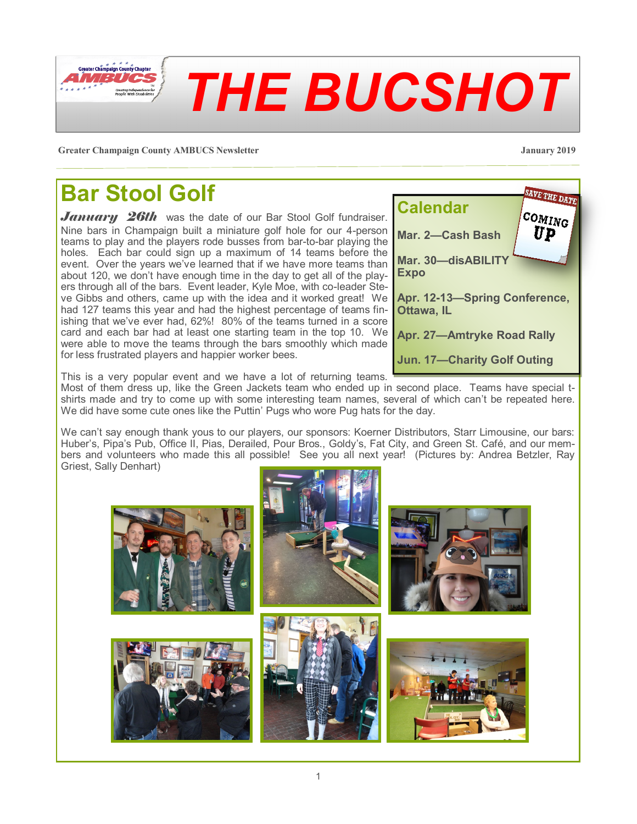

**Greater Champaign County AMBUCS Newsletter January 2019**

### **Bar Stool Golf**

*January 26th* was the date of our Bar Stool Golf fundraiser. Nine bars in Champaign built a miniature golf hole for our 4-person teams to play and the players rode busses from bar-to-bar playing the holes. Each bar could sign up a maximum of 14 teams before the event. Over the years we've learned that if we have more teams than about 120, we don't have enough time in the day to get all of the players through all of the bars. Event leader, Kyle Moe, with co-leader Steve Gibbs and others, came up with the idea and it worked great! We had 127 teams this year and had the highest percentage of teams finishing that we've ever had, 62%! 80% of the teams turned in a score card and each bar had at least one starting team in the top 10. We were able to move the teams through the bars smoothly which made for less frustrated players and happier worker bees.



This is a very popular event and we have a lot of returning teams.

Most of them dress up, like the Green Jackets team who ended up in second place. Teams have special tshirts made and try to come up with some interesting team names, several of which can't be repeated here. We did have some cute ones like the Puttin' Pugs who wore Pug hats for the day.

We can't say enough thank yous to our players, our sponsors: Koerner Distributors, Starr Limousine, our bars: Huber's, Pipa's Pub, Office II, Pias, Derailed, Pour Bros., Goldy's, Fat City, and Green St. Café, and our members and volunteers who made this all possible! See you all next year! (Pictures by: Andrea Betzler, Ray Griest, Sally Denhart)

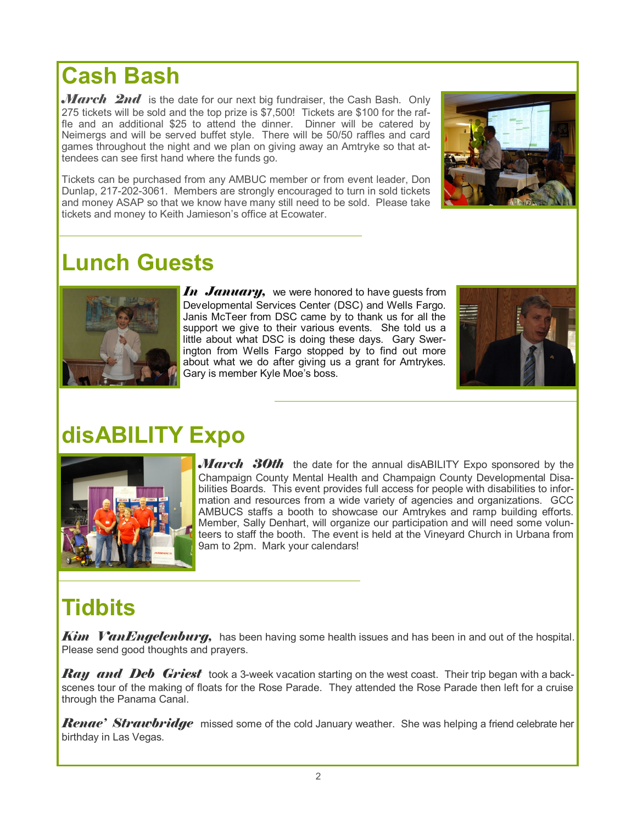#### **Lunch Guests**

tickets and money to Keith Jamieson's office at Ecowater.

tendees can see first hand where the funds go.

*In January*, we were honored to have guests from Developmental Services Center (DSC) and Wells Fargo. Janis McTeer from DSC came by to thank us for all the support we give to their various events. She told us a little about what DSC is doing these days. Gary Swerington from Wells Fargo stopped by to find out more about what we do after giving us a grant for Amtrykes. Gary is member Kyle Moe's boss.

# **disABILITY Expo**

*March* 30th the date for the annual disABILITY Expo sponsored by the Champaign County Mental Health and Champaign County Developmental Disabilities Boards. This event provides full access for people with disabilities to information and resources from a wide variety of agencies and organizations. GCC AMBUCS staffs a booth to showcase our Amtrykes and ramp building efforts. Member, Sally Denhart, will organize our participation and will need some volunteers to staff the booth. The event is held at the Vineyard Church in Urbana from 9am to 2pm. Mark your calendars!

### **Tidbits**

*Kim VanEngelenburg,* has been having some health issues and has been in and out of the hospital. Please send good thoughts and prayers.

*Ray and Deb Griest* took a 3-week vacation starting on the west coast. Their trip began with a backscenes tour of the making of floats for the Rose Parade. They attended the Rose Parade then left for a cruise through the Panama Canal.

*Renae' Strawbridge* missed some of the cold January weather. She was helping a friend celebrate her birthday in Las Vegas.



games throughout the night and we plan on giving away an Amtryke so that at-

Tickets can be purchased from any AMBUC member or from event leader, Don Dunlap, 217-202-3061. Members are strongly encouraged to turn in sold tickets and money ASAP so that we know have many still need to be sold. Please take





**Cash Bash**